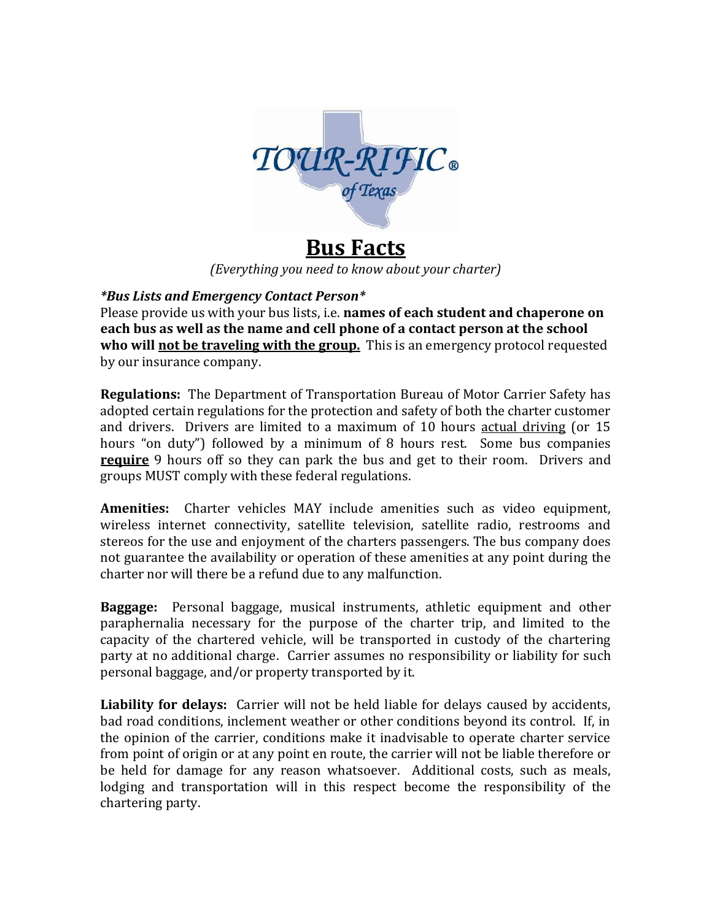

## **Bus Facts**

*(Everything you need to know about your charter)*

## *\*Bus Lists and Emergency Contact Person\**

Please provide us with your bus lists, i.e. **names of each student and chaperone on each bus as well as the name and cell phone of a contact person at the school who will not be traveling with the group.** This is an emergency protocol requested by our insurance company.

**Regulations:** The Department of Transportation Bureau of Motor Carrier Safety has adopted certain regulations for the protection and safety of both the charter customer and drivers. Drivers are limited to a maximum of 10 hours actual driving (or 15 hours "on duty") followed by a minimum of 8 hours rest. Some bus companies **require** 9 hours off so they can park the bus and get to their room. Drivers and groups MUST comply with these federal regulations.

**Amenities:** Charter vehicles MAY include amenities such as video equipment, wireless internet connectivity, satellite television, satellite radio, restrooms and stereos for the use and enjoyment of the charters passengers. The bus company does not guarantee the availability or operation of these amenities at any point during the charter nor will there be a refund due to any malfunction.

**Baggage:** Personal baggage, musical instruments, athletic equipment and other paraphernalia necessary for the purpose of the charter trip, and limited to the capacity of the chartered vehicle, will be transported in custody of the chartering party at no additional charge. Carrier assumes no responsibility or liability for such personal baggage, and/or property transported by it.

**Liability for delays:** Carrier will not be held liable for delays caused by accidents, bad road conditions, inclement weather or other conditions beyond its control. If, in the opinion of the carrier, conditions make it inadvisable to operate charter service from point of origin or at any point en route, the carrier will not be liable therefore or be held for damage for any reason whatsoever. Additional costs, such as meals, lodging and transportation will in this respect become the responsibility of the chartering party.